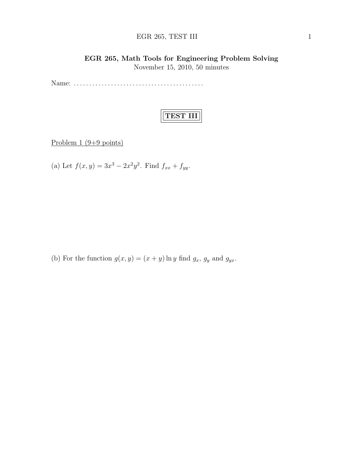# EGR 265, TEST III 1

# EGR 265, Math Tools for Engineering Problem Solving November 15, 2010, 50 minutes

Name: . . . . . . . . . . . . . . . . . . . . . . . . . . . . . . . . . . . . . . . . . .

# TEST III

Problem 1 (9+9 points)

(a) Let  $f(x, y) = 3x^3 - 2x^2y^2$ . Find  $f_{xx} + f_{yy}$ .

(b) For the function  $g(x, y) = (x + y) \ln y$  find  $g_x$ ,  $g_y$  and  $g_{yx}$ .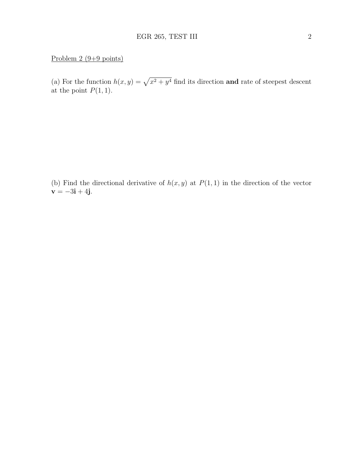#### Problem 2 (9+9 points)

(a) For the function  $h(x, y) = \sqrt{x^2 + y^4}$  find its direction and rate of steepest descent at the point  $P(1, 1)$ .

(b) Find the directional derivative of  $h(x, y)$  at  $P(1, 1)$  in the direction of the vector  $v = -3i + 4j$ .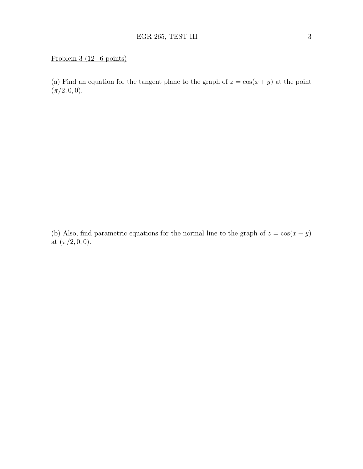# Problem 3 (12+6 points)

(a) Find an equation for the tangent plane to the graph of  $z = \cos(x + y)$  at the point  $(\pi/2, 0, 0).$ 

(b) Also, find parametric equations for the normal line to the graph of  $z = \cos(x + y)$ at  $(\pi/2, 0, 0)$ .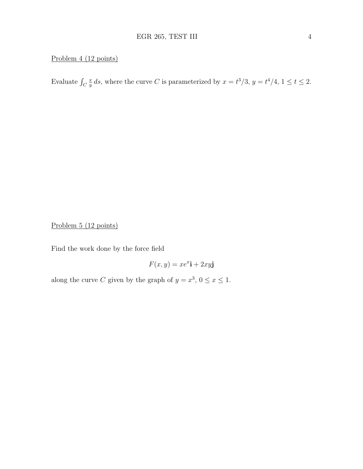# Problem 4 (12 points)

Evaluate  $\int_C$ x  $\frac{x}{y}$  ds, where the curve C is parameterized by  $x = t^3/3$ ,  $y = t^4/4$ ,  $1 \le t \le 2$ .

Problem 5 (12 points)

Find the work done by the force field

 $F(x, y) = xe^{x}$ **i** + 2xy**j** 

along the curve C given by the graph of  $y = x^3$ ,  $0 \le x \le 1$ .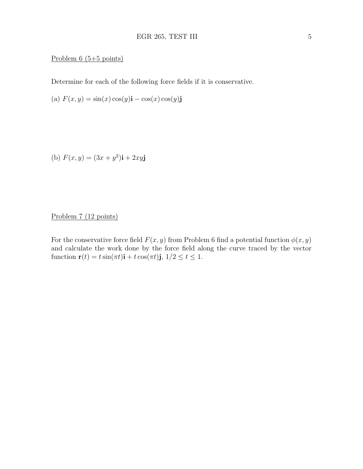#### Problem 6 (5+5 points)

Determine for each of the following force fields if it is conservative.

(a)  $F(x, y) = \sin(x) \cos(y) \mathbf{i} - \cos(x) \cos(y) \mathbf{j}$ 

(b)  $F(x, y) = (3x + y^2)\mathbf{i} + 2xy\mathbf{j}$ 

Problem 7 (12 points)

For the conservative force field  $F(x, y)$  from Problem 6 find a potential function  $\phi(x, y)$ and calculate the work done by the force field along the curve traced by the vector function  $\mathbf{r}(t) = t \sin(\pi t)\mathbf{i} + t \cos(\pi t)\mathbf{j}, 1/2 \le t \le 1.$